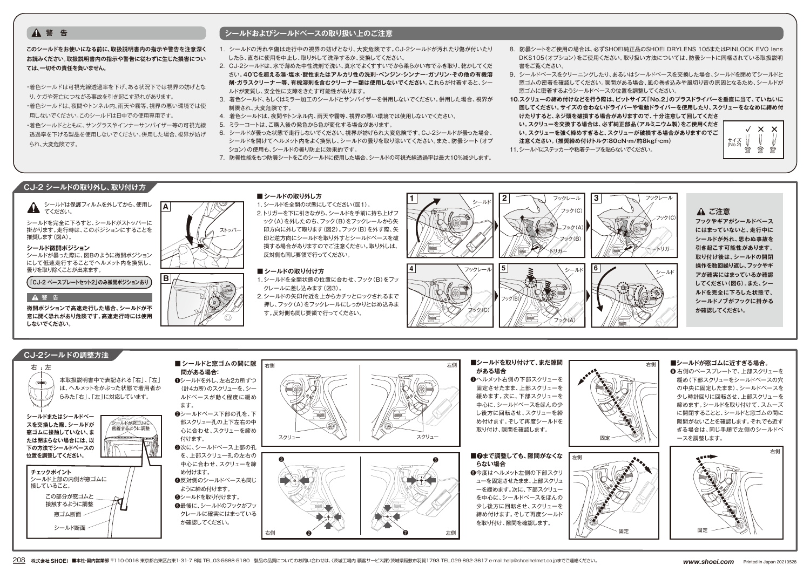## **このシールドをお使いになる前に、取扱説明書内の指示や警告を注意深く お読みください。取扱説明書内の指示や警告に従わずに生じた損害につい ては、一切その責任を負いません。**

・着色シールドは可視光線透過率を下げ、ある状況下では視界の妨げとな り、ケガや死亡につながる事故を引き起こす恐れがあります。 ・着色シールドは、夜間やトンネル内、雨天や霧等、視界の悪い環境では使 用しないでください。このシールドは日中での使用専用です。 ・着色シールドとともに、サングラスやインナーサンバイザー等の可視光線

透過率を下げる製品を使用しないでください。併用した場合、視界が妨げ られ、大変危険です。

# **▲ 警 告** シールドおよびシールドベースの取り扱い上のご注意

- 1. シールドの汚れや傷は走行中の視界の妨げとなり、大変危険です。CJ-2シールドが汚れたり傷が付いたり したら、直ちに使用を中止し、取り外して洗浄するか、交換してください。
- 2. CJ-2シールドは、水で薄めた中性洗剤で洗い、真水でよくすすいでから柔らかい布でふき取り、乾かしてくだ さい。**40℃を超える湯・塩水・酸性またはアルカリ性の洗剤・ベンジン・シンナー・ガソリン・その他の有機溶 剤・ガラスクリーナー等、有機溶剤を含むクリーナー類は使用しないでください。**これらが付着すると、シー ルドが変質し、安全性に支障をきたす可能性があります。
- 3. 着色シールド、もしくはミラー加工のシールドとサンバイザーを併用しないでください。併用した場合、視界が 制限され、大変危険です。
- 4. 着色シールドは、夜間やトンネル内、雨天や霧等、視界の悪い環境では使用しないでください。
- 5. ミラーコートは、ご購入後の発色から色が変化する場合があります。
- 6. シールドが曇った状態で走行しないでください。視界が妨げられ大変危険です。CJ-2シールドが曇った場合、 シールドを開けてヘルメット内をよく換気し、シールドの曇りを取り除いてください。また、防曇シート(オプ ション)の使用も、シールドの曇り防止に効果的です。
- 7. 防曇性能をもつ防曇シートをこのシールドに使用した場合、シールドの可視光線透過率は最大10%減少します。
- 8. 防曇シートをご使用の場合は、必ずSHOEI純正品のSHOEI DRYLENS 105またはPINLOCK EVO lens DKS105(オプション)をご使用ください。取り扱い方法については、防曇シートに同梱されている取扱説明 書をご覧ください。
- 9. シールドベースをクリーニングしたり、あるいはシールドベースを交換した場合、シールドを閉めてシールドと 窓ゴムの密着を確認してください。隙間がある場合、風の巻き込みや風切り音の原因となるため、シールドが 窓ゴムに密着するようシールドベースの位置を調整してください。
- **10.スクリューの締め付けなどを行う際は、ビットサイズ「No.2」のプラスドライバーを垂直に当て、ていねいに 回してください。サイズの合わないドライバーや電動ドライバーを使用したり、スクリューをななめに締め付 けたりすると、ネジ頭を破損する場合がありますので、十分注意して回してくださ**
- **い。スクリューを交換する場合は、必ず純正部品(アルミニウム製)をご使用くださ**

**い。スクリューを強く締めすぎると、スクリューが破損する場合がありますのでご**

**注意ください。(推奨締め付けトルク:80cN・m/約8kgf・cm)** 11.シールドにステッカーや粘着テープを貼らないでください。



# **CJ-2 シールドの取り外し、取り付け方**

## シールドは保護フィルムを外してから、使用し ▲ てください。

シールドを完全に下ろすと、シールドがストッパーに 掛かります。走行時は、このポジションにすることを 推奨します(図A)。

## **シールド微開ポジション**

シールドが曇った際に、図Bのように微開ポジション にして低速走行することでヘルメット内を換気し、 曇りを取り除くことが出来ます。

**「CJ-2 ベースプレートセット2」のみ微開ポジションあり**

## **警 告**

**微開ポジションで高速走行した場合、シールドが不 意に開く恐れがあり危険です。高速走行時には使用 しないでください。**



■**シールドの取り外し方** 1. シールドを全開の状態にしてください(図1)。 2.トリガーを下に引きながら、シールドを手前に持ち上げフ ック(A)を外したのち、フック(B)をフックレールから矢 印方向に外して取ります(図2)。フック(B)を外す際、矢 印と逆方向にシールドを取り外すとシールドベースを破 損する場合がありますのでご注意ください。取り外しは、 反対側も同じ要領で行ってください。

## ■ シールドの取り付け方

- 1. シールドを全開状態の位置に合わせ、フック(B)をフッ クレールに差し込みます(図3)。
- 2.シールドの矢印付近を上からカチッとロックされるまで 押し、フック(A)をフックレールにしっかりとはめ込みま す。反対側も同じ要領で行ってください。



# **ご注意**

**フックやギアがシールドベース にはまっていないと、走行中に シールドが外れ、思わぬ事故を 引き起こす可能性があります。 取り付け後は、シールドの開閉 操作を数回繰り返し、フックやギ アが確実にはまっているか確認 してください(図6)。また、シー ルドを完全に下ろした状態で、 シールドノブがフックに掛かる か確認してください。**



208 株式会社 SHOEI ■本社·国内営業部 〒110-0016 東京都台東区台東1-31-7 8階 TEL.03-5688-5180 製品の品質についてのお問い合わせは、〈茨城工場内 顧客サービス課〉茨城県稲敷市羽賀1793 TEL.029-892-3617 e-mail:help@shoeihelmet.co.jpまでご連絡ください。